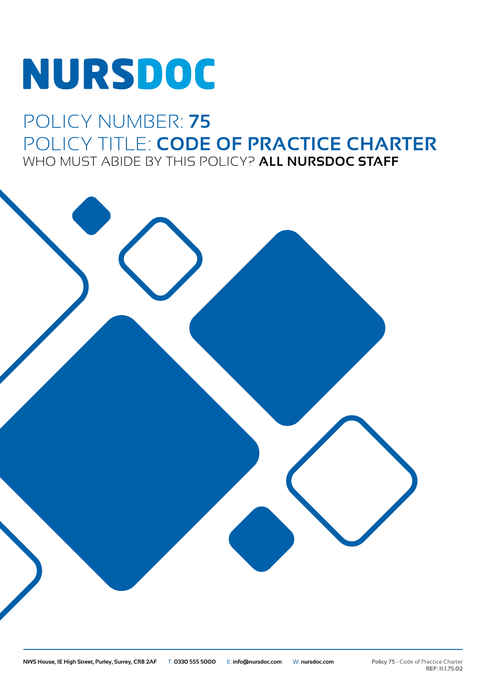# NURSDOC

## POLICY NUMBER: **75** POLICY TITLE: **CODE OF PRACTICE CHARTER** WHO MUST ABIDE BY THIS POLICY? **ALL NURSDOC STAFF**

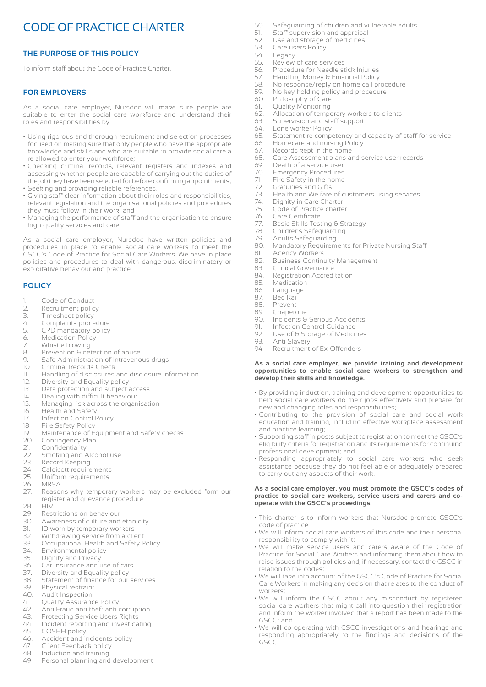### CODE OF PRACTICE CHARTER

#### **THE PURPOSE OF THIS POLICY**

To inform staff about the Code of Practice Charter.

#### **FOR EMPLOYERS**

As a social care employer, Nursdoc will make sure people are suitable to enter the social care workforce and understand their roles and responsibilities by

- Using rigorous and thorough recruitment and selection processes focused on making sure that only people who have the appropriate knowledge and skills and who are suitable to provide social care a re allowed to enter your workforce;
- Checking criminal records, relevant registers and indexes and assessing whether people are capable of carrying out the duties of the job they have been selected for before confirming appointments; • Seeking and providing reliable references;
- Giving staff clear information about their roles and responsibilities, relevant legislation and the organisational policies and procedures they must follow in their work; and
- Managing the performance of staff and the organisation to ensure high quality services and care.

As a social care employer, Nursdoc have written policies and procedures in place to enable social care workers to meet the GSCC's Code of Practice for Social Care Workers. We have in place policies and procedures to deal with dangerous, discriminatory or exploitative behaviour and practice.

#### **POLICY**

- 1. Code of Conduct
- 2. Recruitment policy<br>3. Timesheet policy
- Timesheet policy
- 4. Complaints procedure<br>5. CPD mandatory policy
- 5. CPD mandatory policy
- 6. Medication Policy<br>7. Whistle blowing
- 7. Whistle blowing<br>8. Prevention & det
- 8. Prevention & detection of abuse<br>9. Safe Administration of Intravence
- 9. Safe Administration of Intravenous drugs<br>10. Criminal Records Check
- Criminal Records Check
- 11. Handling of disclosures and disclosure information
- 12. Diversity and Equality policy<br>13. Data protection and subject a
- 13. Data protection and subject access<br>14. Dealing with difficult behaviour
- 14. Dealing with difficult behaviour<br>15. Managing risk across the organ
- Managing risk across the organisation
- 16. Health and Safety
- 
- 17. Infection Control Policy<br>18. Fire Safety Policy
- 18. Fire Safety Policy<br>19. Maintenance of E 19. Maintenance of Equipment and Safety checks<br>20. Contingency Plan
- 20. Contingency Plan<br>21. Confidentiality
- Confidentiality
- 22. Smoking and Alcohol use<br>23. Record Keeping
- 
- 23. Record Keeping<br>24. Caldicott require
- 24. Caldicott requirements<br>25. Uniform requirements Uniform requirements
- 26. MRSA
- 27. Reasons why temporary workers may be excluded form our register and grievance procedure<br>28. HIV
- 28. HIV
- 
- 29. Restrictions on behaviour Awareness of culture and ethnicity
- 31. ID worn by temporary workers
- 32. Withdrawing service from a client<br>33. Occupational Health and Safety F
- Occupational Health and Safety Policy
- 34. Environmental policy
- 
- 35. Dignity and Privacy<br>36. Car Insurance and u Car Insurance and use of cars
- 37. Diversity and Equality policy
- 38. Statement of finance for our services
- 39. Physical restraint
- 40. Audit Inspection
- 41. Quality Assurance Policy
- 42. Anti Fraud anti theft anti corruption
- 43. Protecting Service Users Rights
- 44. Incident reporting and investigating
- 45. COSHH policy
- 46. Accident and incidents policy<br>47. Client Feedback policy
- 47. Client Feedback policy
- 48. Induction and training
- 49. Personal planning and development
- 50. Safeguarding of children and vulnerable adults<br>51. Staff supervision and appraisal
- 51. Staff supervision and appraisal<br>52. Use and storage of medicines
- 52. Use and storage of medicines<br>53. Care users Policy
- 53. Care users Policy<br>54. Legacy
- 54. Legacy<br>55. Review
- 55. Review of care services<br>56. Procedure for Needle st
- 56. Procedure for Needle stick Injuries<br>57. Handling Money & Financial Policy
- 57. Handling Money & Financial Policy<br>58. No response/reply on home call pr
- 58. No response/reply on home call procedure<br>59. No key holding policy and procedure
- 59. No key holding policy and procedure
- 60. Philosophy of Care
- 61. Quality Monitoring
- 62. Allocation of temporary workers to clients
- 63. Supervision and staff support<br>64. Lone worker Policy
- 64. Lone worker Policy<br>65. Statement re comp
- Statement re competency and capacity of staff for service
- 66. Homecare and nursing Policy
- 67. Records kept in the home
- 68. Care Assessment plans and service user records
- 69. Death of a service user<br>70. Emergency Procedures
- 
- 70. Emergency Procedures<br>71. Fire Safety in the home<br>72. Gratuities and Gifts Fire Safety in the home
- 72. Gratuities and Gifts<br>73. Health and Welfare
- 73. Health and Welfare of customers using services
- 74. Dignity in Care Charter<br>75. Code of Practice charte
- 75. Code of Practice charter<br>76. Care Certificate<br>77. Basic Skills Testing & Str
- Care Certificate
- 77. Basic Skills Testing & Strategy<br>78. Childrens Safeguarding
- 78. Childrens Safeguarding<br>79. Adults Safeguarding
- 79. Adults Safeguarding<br>80. Mandatory Reguirem
- Mandatory Requirements for Private Nursing Staff

**As a social care employer, we provide training and development opportunities to enable social care workers to strengthen and** 

• By providing induction, training and development opportunities to help social care workers do their jobs effectively and prepare for

• Contributing to the provision of social care and social work education and training, including effective workplace assessment

• Supporting staff in posts subject to registration to meet the GSCC's eligibility criteria for registration and its requirements for continuing

• Responding appropriately to social care workers who seek assistance because they do not feel able or adequately prepared

**As a social care employer, you must promote the GSCC's codes of practice to social care workers, service users and carers and co-**

• This charter is to inform workers that Nursdoc promote GSCC's

• We will inform social care workers of this code and their personal

• We will make service users and carers aware of the Code of Practice for Social Care Workers and informing them about how to raise issues through policies and, if necessary, contact the GSCC in

• We will take into account of the GSCC's Code of Practice for Social Care Workers in making any decision that relates to the conduct of

• We will inform the GSCC about any misconduct by registered social care workers that might call into question their registration and inform the worker involved that a report has been made to the

• We will co-operating with GSCC investigations and hearings and responding appropriately to the findings and decisions of the

- 81. Agency Workers
- 82. Business Continuity Management
- 83. Clinical Governance<br>84. Registration Accredi

91. Infection Control Guidance<br>92. Use of & Storage of Medici 92. Use of & Storage of Medicines<br>93. Anti Slavery

Recruitment of Ex-Offenders

new and changing roles and responsibilities;

**develop their skills and knowledge.**

professional development; and

to carry out any aspects of their work.

**operate with the GSCC's proceedings.**

responsibility to comply with it;

- 84. Registration Accreditation<br>85 Medication
- Medication
- 86. Language
- 87. Bed Rail
- 
- 88. Prevent<br>89. Chaperd 89. Chaperone<br>90. Incidents & Incidents & Serious Accidents

93. Anti Slavery<br>94. Recruitment

and practice learning;

code of practice

relation to the codes;

workers;

GSCC; and

GSCC.